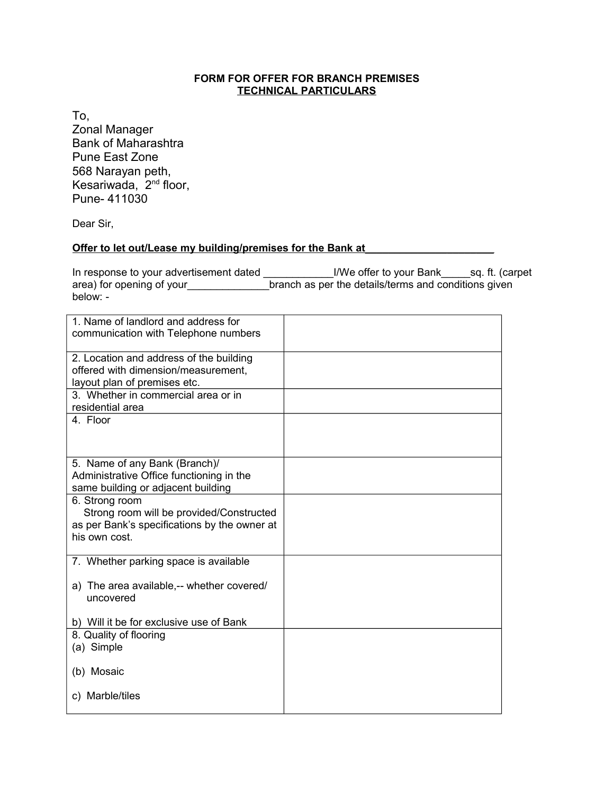## **FORM FOR OFFER FOR BRANCH PREMISES TECHNICAL PARTICULARS**

To,

Zonal Manager Bank of Maharashtra Pune East Zone 568 Narayan peth, Kesariwada, 2nd floor, Pune- 411030

Dear Sir,

## **Offer to let out/Lease my building/premises for the Bank at**

In response to your advertisement dated \_\_\_\_\_\_\_\_\_\_\_\_\_I/We offer to your Bank\_\_\_\_\_sq. ft. (carpet area) for opening of your branch as per the details/terms and conditions given below: -

| 1. Name of landlord and address for<br>communication with Telephone numbers                                                                |  |
|--------------------------------------------------------------------------------------------------------------------------------------------|--|
| 2. Location and address of the building<br>offered with dimension/measurement,<br>layout plan of premises etc.                             |  |
| 3. Whether in commercial area or in<br>residential area                                                                                    |  |
| 4. Floor                                                                                                                                   |  |
| 5. Name of any Bank (Branch)/<br>Administrative Office functioning in the<br>same building or adjacent building                            |  |
| 6. Strong room<br>Strong room will be provided/Constructed<br>as per Bank's specifications by the owner at<br>his own cost.                |  |
| 7. Whether parking space is available<br>a) The area available,-- whether covered/<br>uncovered<br>b) Will it be for exclusive use of Bank |  |
| 8. Quality of flooring<br>(a) Simple                                                                                                       |  |
| (b) Mosaic                                                                                                                                 |  |
| c) Marble/tiles                                                                                                                            |  |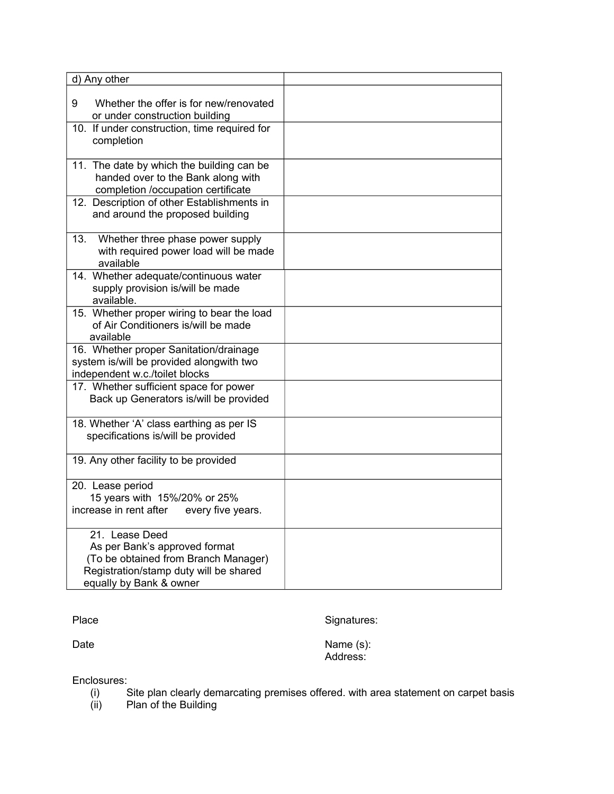| d) Any other                                                                                                                                                 |  |
|--------------------------------------------------------------------------------------------------------------------------------------------------------------|--|
| 9<br>Whether the offer is for new/renovated<br>or under construction building                                                                                |  |
| 10. If under construction, time required for<br>completion                                                                                                   |  |
| 11. The date by which the building can be<br>handed over to the Bank along with<br>completion /occupation certificate                                        |  |
| 12. Description of other Establishments in<br>and around the proposed building                                                                               |  |
| 13.<br>Whether three phase power supply<br>with required power load will be made<br>available                                                                |  |
| 14. Whether adequate/continuous water<br>supply provision is/will be made<br>available.                                                                      |  |
| 15. Whether proper wiring to bear the load<br>of Air Conditioners is/will be made<br>available                                                               |  |
| 16. Whether proper Sanitation/drainage<br>system is/will be provided alongwith two<br>independent w.c./toilet blocks                                         |  |
| 17. Whether sufficient space for power<br>Back up Generators is/will be provided                                                                             |  |
| 18. Whether 'A' class earthing as per IS<br>specifications is/will be provided                                                                               |  |
| 19. Any other facility to be provided                                                                                                                        |  |
| 20. Lease period<br>15 years with 15%/20% or 25%<br>increase in rent after<br>every five years.                                                              |  |
| 21. Lease Deed<br>As per Bank's approved format<br>(To be obtained from Branch Manager)<br>Registration/stamp duty will be shared<br>equally by Bank & owner |  |

Place Signatures:

Date Name (s): Address:

Enclosures:<br>(i) 9

- (i) Site plan clearly demarcating premises offered. with area statement on carpet basis
- (ii) Plan of the Building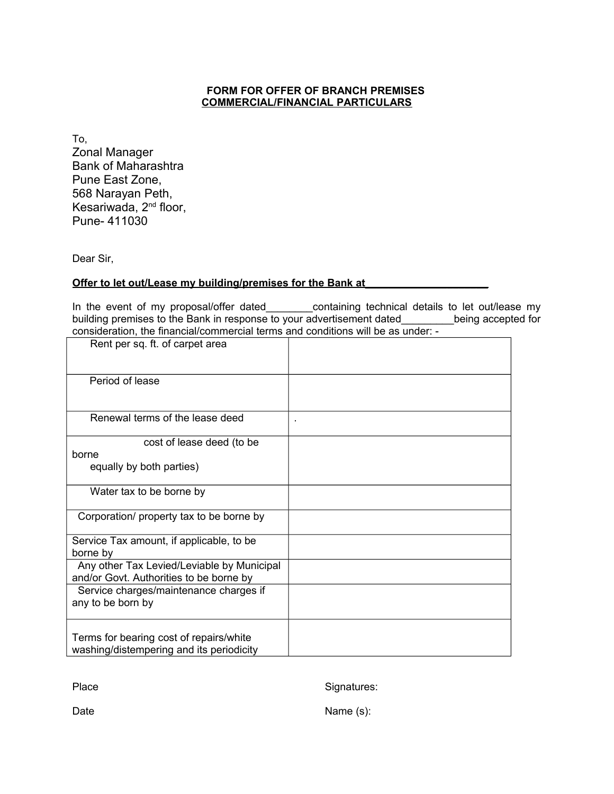## **FORM FOR OFFER OF BRANCH PREMISES COMMERCIAL/FINANCIAL PARTICULARS**

To, Zonal Manager Bank of Maharashtra Pune East Zone, 568 Narayan Peth, Kesariwada, 2<sup>nd</sup> floor, Pune- 411030

Dear Sir,

## **Offer to let out/Lease my building/premises for the Bank at**

In the event of my proposal/offer dated\_\_\_\_\_\_\_\_\_containing technical details to let out/lease my building premises to the Bank in response to your advertisement dated\_\_\_\_\_\_\_\_\_being accepted for consideration, the financial/commercial terms and conditions will be as under: -

| Rent per sq. ft. of carpet area            |                |
|--------------------------------------------|----------------|
| Period of lease                            |                |
| Renewal terms of the lease deed            | $\blacksquare$ |
| cost of lease deed (to be                  |                |
| borne                                      |                |
| equally by both parties)                   |                |
| Water tax to be borne by                   |                |
| Corporation/ property tax to be borne by   |                |
| Service Tax amount, if applicable, to be   |                |
| borne by                                   |                |
| Any other Tax Levied/Leviable by Municipal |                |
| and/or Govt. Authorities to be borne by    |                |
| Service charges/maintenance charges if     |                |
| any to be born by                          |                |
|                                            |                |
|                                            |                |
| Terms for bearing cost of repairs/white    |                |
| washing/distempering and its periodicity   |                |

Place Signatures:

Date Name (s):